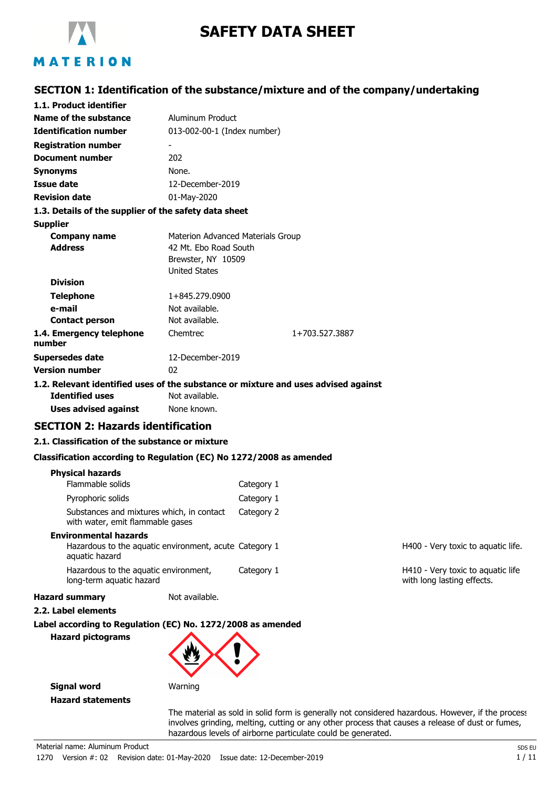

# **SAFETY DATA SHEET**

# **SECTION 1: Identification of the substance/mixture and of the company/undertaking**

| 1.1. Product identifier                                                            |                                   |                |  |
|------------------------------------------------------------------------------------|-----------------------------------|----------------|--|
| Name of the substance                                                              | Aluminum Product                  |                |  |
| <b>Identification number</b>                                                       | 013-002-00-1 (Index number)       |                |  |
| <b>Registration number</b>                                                         |                                   |                |  |
| <b>Document number</b>                                                             | 202                               |                |  |
| <b>Synonyms</b>                                                                    | None.                             |                |  |
| <b>Issue date</b>                                                                  | 12-December-2019                  |                |  |
| <b>Revision date</b>                                                               | 01-May-2020                       |                |  |
| 1.3. Details of the supplier of the safety data sheet                              |                                   |                |  |
| <b>Supplier</b>                                                                    |                                   |                |  |
| <b>Company name</b>                                                                | Materion Advanced Materials Group |                |  |
| <b>Address</b>                                                                     | 42 Mt. Ebo Road South             |                |  |
|                                                                                    | Brewster, NY 10509                |                |  |
|                                                                                    | <b>United States</b>              |                |  |
| <b>Division</b>                                                                    |                                   |                |  |
| <b>Telephone</b>                                                                   | 1+845.279.0900                    |                |  |
| e-mail                                                                             | Not available.                    |                |  |
| <b>Contact person</b>                                                              | Not available.                    |                |  |
| 1.4. Emergency telephone<br>number                                                 | Chemtrec                          | 1+703.527.3887 |  |
| Supersedes date                                                                    | 12-December-2019                  |                |  |
| <b>Version number</b>                                                              | 02                                |                |  |
| 1.2. Relevant identified uses of the substance or mixture and uses advised against |                                   |                |  |
| <b>Identified uses</b>                                                             | Not available.                    |                |  |

# **SECTION 2: Hazards identification**

#### **2.1. Classification of the substance or mixture**

**Uses advised against** None known.

#### **Classification according to Regulation (EC) No 1272/2008 as amended**

| <b>Hazard pictograms</b>                       | Label according to Regulation (EC) No. 1272/2008 as amended |            |                       |
|------------------------------------------------|-------------------------------------------------------------|------------|-----------------------|
| 2.2. Label elements                            |                                                             |            |                       |
| <b>Hazard summary</b>                          | Not available.                                              |            |                       |
| long-term aquatic hazard                       | Hazardous to the aguatic environment,                       | Category 1 | H410 - V<br>with long |
| <b>Environmental hazards</b><br>aquatic hazard | Hazardous to the aquatic environment, acute Category 1      |            | H400 - V              |
| with water, emit flammable gases               | Substances and mixtures which, in contact                   | Category 2 |                       |
| Pyrophoric solids                              |                                                             | Category 1 |                       |
| <b>Physical hazards</b><br>Flammable solids    |                                                             | Category 1 |                       |

/ery toxic to aquatic life.

erv toxic to aquatic life g lasting effects.

**Signal word** Warning **Hazard statements**

> The material as sold in solid form is generally not considered hazardous. However, if the process involves grinding, melting, cutting or any other process that causes a release of dust or fumes, hazardous levels of airborne particulate could be generated.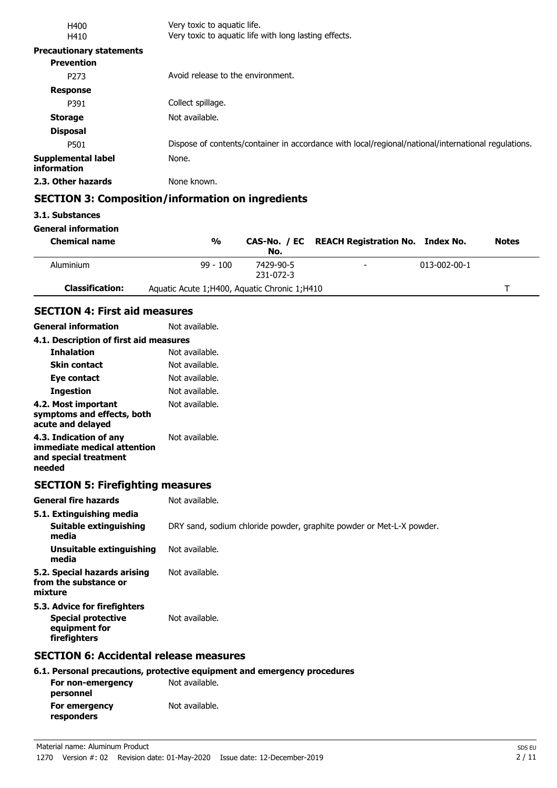| H400                                     | Very toxic to aquatic life.                                                                         |
|------------------------------------------|-----------------------------------------------------------------------------------------------------|
| H410                                     | Very toxic to aquatic life with long lasting effects.                                               |
| <b>Precautionary statements</b>          |                                                                                                     |
| <b>Prevention</b>                        |                                                                                                     |
| P <sub>273</sub>                         | Avoid release to the environment.                                                                   |
| <b>Response</b>                          |                                                                                                     |
| P391                                     | Collect spillage.                                                                                   |
| <b>Storage</b>                           | Not available.                                                                                      |
| <b>Disposal</b>                          |                                                                                                     |
| P501                                     | Dispose of contents/container in accordance with local/regional/national/international regulations. |
| <b>Supplemental label</b><br>information | None.                                                                                               |
| 2.3. Other hazards                       | None known.                                                                                         |
|                                          | <b>SECTION 3: Composition/information on ingredients</b>                                            |

### **3.1. Substances**

**General information**

**personnel**

**responders**

| <b>Chemical name</b>   | $\frac{0}{0}$                                  | No.                    | CAS-No. / EC REACH Registration No. Index No. |                      | <b>Notes</b> |
|------------------------|------------------------------------------------|------------------------|-----------------------------------------------|----------------------|--------------|
| Aluminium              | $99 - 100$                                     | 7429-90-5<br>231-072-3 | $\overline{\phantom{0}}$                      | $013 - 002 - 00 - 1$ |              |
| <b>Classification:</b> | Aquatic Acute 1; H400, Aquatic Chronic 1; H410 |                        |                                               |                      |              |
|                        |                                                |                        |                                               |                      |              |

## **SECTION 4: First aid measures**

| <b>General information</b>                                                                 | Not available.                                                           |
|--------------------------------------------------------------------------------------------|--------------------------------------------------------------------------|
| 4.1. Description of first aid measures                                                     |                                                                          |
| <b>Inhalation</b>                                                                          | Not available.                                                           |
| <b>Skin contact</b>                                                                        | Not available.                                                           |
| Eye contact                                                                                | Not available.                                                           |
| <b>Ingestion</b>                                                                           | Not available.                                                           |
| 4.2. Most important<br>symptoms and effects, both<br>acute and delayed                     | Not available.                                                           |
| 4.3. Indication of any<br>immediate medical attention<br>and special treatment<br>needed   | Not available.                                                           |
| <b>SECTION 5: Firefighting measures</b>                                                    |                                                                          |
| <b>General fire hazards</b>                                                                | Not available.                                                           |
| 5.1. Extinguishing media                                                                   |                                                                          |
| <b>Suitable extinguishing</b><br>media                                                     | DRY sand, sodium chloride powder, graphite powder or Met-L-X powder.     |
| <b>Unsuitable extinguishing</b><br>media                                                   | Not available.                                                           |
| 5.2. Special hazards arising<br>from the substance or<br>mixture                           | Not available.                                                           |
| 5.3. Advice for firefighters<br><b>Special protective</b><br>equipment for<br>firefighters | Not available.                                                           |
| <b>SECTION 6: Accidental release measures</b>                                              |                                                                          |
|                                                                                            | 6.1. Personal precautions, protective equipment and emergency procedures |
| For non-emergency                                                                          | Not available.                                                           |

**For emergency** Not available.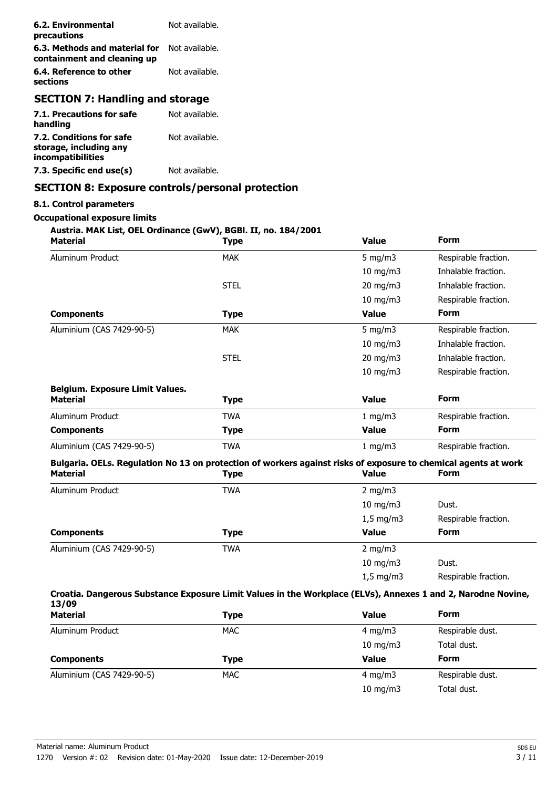| 6.2. Environmental<br>precautions                            | Not available. |
|--------------------------------------------------------------|----------------|
| 6.3. Methods and material for<br>containment and cleaning up | Not available. |
| 6.4. Reference to other<br>sections                          | Not available. |
| <b>SECTION 7: Handling and storage</b>                       |                |
| 7.1. Precautions for safe<br>handling                        | Not available. |
| 7.2. Conditions for safe<br>storage, including any           | Not available. |

**7.3. Specific end use(s)** Not available.

# **SECTION 8: Exposure controls/personal protection**

### **8.1. Control parameters**

**incompatibilities**

#### **Occupational exposure limits**

### **Austria. MAK List, OEL Ordinance (GwV), BGBl. II, no. 184/2001**

| <b>Material</b>                                                                                                                   | <b>Type</b>      | <b>Value</b>       | <b>Form</b>          |
|-----------------------------------------------------------------------------------------------------------------------------------|------------------|--------------------|----------------------|
| Aluminum Product                                                                                                                  | <b>MAK</b>       | $5$ mg/m $3$       | Respirable fraction. |
|                                                                                                                                   |                  | $10$ mg/m $3$      | Inhalable fraction.  |
|                                                                                                                                   | <b>STEL</b>      | 20 mg/m3           | Inhalable fraction.  |
|                                                                                                                                   |                  | $10 \text{ mg/m}$  | Respirable fraction. |
| <b>Components</b>                                                                                                                 | <b>Type</b>      | <b>Value</b>       | <b>Form</b>          |
| Aluminium (CAS 7429-90-5)                                                                                                         | <b>MAK</b>       | $5$ mg/m $3$       | Respirable fraction. |
|                                                                                                                                   |                  | $10$ mg/m $3$      | Inhalable fraction.  |
|                                                                                                                                   | <b>STEL</b>      | 20 mg/m3           | Inhalable fraction.  |
|                                                                                                                                   |                  | $10 \text{ mg/m}$  | Respirable fraction. |
| <b>Belgium. Exposure Limit Values.</b>                                                                                            |                  |                    |                      |
| <b>Material</b>                                                                                                                   | <b>Type</b>      | <b>Value</b>       | <b>Form</b>          |
| Aluminum Product                                                                                                                  | <b>TWA</b>       | 1 mg/m3            | Respirable fraction. |
| <b>Components</b>                                                                                                                 | <b>Type</b>      | Value              | <b>Form</b>          |
| Aluminium (CAS 7429-90-5)                                                                                                         | <b>TWA</b>       | 1 mg/m3            | Respirable fraction. |
| Bulgaria. OELs. Regulation No 13 on protection of workers against risks of exposure to chemical agents at work<br><b>Material</b> | <b>Type</b>      | <b>Value</b>       | <b>Form</b>          |
| Aluminum Product                                                                                                                  | <b>TWA</b>       | 2 mg/m $3$         |                      |
|                                                                                                                                   |                  | $10$ mg/m $3$      | Dust.                |
|                                                                                                                                   |                  | $1,5 \text{ mg/m}$ | Respirable fraction. |
| <b>Components</b>                                                                                                                 | <b>Type</b>      | <b>Value</b>       | <b>Form</b>          |
| Aluminium (CAS 7429-90-5)                                                                                                         | <b>TWA</b>       | $2$ mg/m $3$       |                      |
|                                                                                                                                   |                  | $10$ mg/m $3$      | Dust.                |
|                                                                                                                                   |                  | $1,5$ mg/m3        | Respirable fraction. |
| Croatia. Dangerous Substance Exposure Limit Values in the Workplace (ELVs), Annexes 1 and 2, Narodne Novine,<br>13/09             |                  |                    |                      |
| $M - L - L - L$                                                                                                                   | $T_{\text{max}}$ | $V_{\rm min}$      | Eorm                 |

| <b>Material</b>           | Type       | <b>Value</b>  | <b>Form</b>      |  |
|---------------------------|------------|---------------|------------------|--|
| Aluminum Product          | <b>MAC</b> | $4$ mg/m $3$  | Respirable dust. |  |
|                           |            | $10$ mg/m $3$ | Total dust.      |  |
| <b>Components</b>         | Type       | <b>Value</b>  | <b>Form</b>      |  |
|                           |            |               |                  |  |
| Aluminium (CAS 7429-90-5) | <b>MAC</b> | $4$ mg/m $3$  | Respirable dust. |  |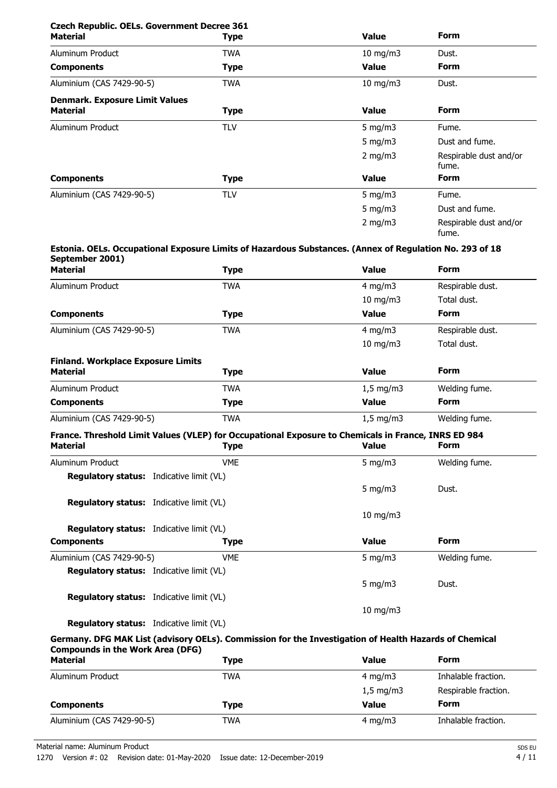| <b>Czech Republic. OELs. Government Decree 361</b><br><b>Material</b> | <b>Type</b> | <b>Value</b>      | <b>Form</b>                     |
|-----------------------------------------------------------------------|-------------|-------------------|---------------------------------|
|                                                                       |             |                   |                                 |
| Aluminum Product                                                      | <b>TWA</b>  | $10 \text{ mg/m}$ | Dust.                           |
| <b>Components</b>                                                     | <b>Type</b> | <b>Value</b>      | <b>Form</b>                     |
| Aluminium (CAS 7429-90-5)                                             | <b>TWA</b>  | 10 mg/m $3$       | Dust.                           |
| <b>Denmark. Exposure Limit Values</b>                                 |             |                   |                                 |
| <b>Material</b>                                                       | <b>Type</b> | <b>Value</b>      | <b>Form</b>                     |
| Aluminum Product                                                      | <b>TLV</b>  | 5 mg/m $3$        | Fume.                           |
|                                                                       |             | 5 mg/m $3$        | Dust and fume.                  |
|                                                                       |             | $2$ mg/m $3$      | Respirable dust and/or<br>fume. |
| <b>Components</b>                                                     | <b>Type</b> | <b>Value</b>      | <b>Form</b>                     |
| Aluminium (CAS 7429-90-5)                                             | <b>TLV</b>  | 5 mg/m $3$        | Fume.                           |
|                                                                       |             | 5 mg/m $3$        | Dust and fume.                  |
|                                                                       |             | 2 mg/m $3$        | Respirable dust and/or<br>fume. |

#### **Estonia. OELs. Occupational Exposure Limits of Hazardous Substances. (Annex of Regulation No. 293 of 18 September 2001)**

| <b>Type</b>                               | Value              | <b>Form</b>      |
|-------------------------------------------|--------------------|------------------|
| <b>TWA</b>                                | 4 mg/m $3$         | Respirable dust. |
|                                           | $10 \text{ mg/m}$  | Total dust.      |
| <b>Type</b>                               | <b>Value</b>       | <b>Form</b>      |
| <b>TWA</b>                                | 4 mg/m $3$         | Respirable dust. |
|                                           | $10 \text{ mg/m}$  | Total dust.      |
| <b>Finland. Workplace Exposure Limits</b> |                    |                  |
| <b>Type</b>                               | <b>Value</b>       | <b>Form</b>      |
| <b>TWA</b>                                | $1,5 \text{ mg/m}$ | Welding fume.    |
| <b>Type</b>                               | <b>Value</b>       | <b>Form</b>      |
| <b>TWA</b>                                | $1,5$ mg/m3        | Welding fume.    |
|                                           |                    |                  |

#### **France. Threshold Limit Values (VLEP) for Occupational Exposure to Chemicals in France, INRS ED 984**<br>Material **Material** Form **Type Material Type Value Form**

| Malehai                                         | 'i Àhe     | value             | .             |  |
|-------------------------------------------------|------------|-------------------|---------------|--|
| Aluminum Product                                | <b>VME</b> | 5 mg/m $3$        | Welding fume. |  |
| <b>Regulatory status:</b> Indicative limit (VL) |            |                   |               |  |
|                                                 |            | 5 $mq/m3$         | Dust.         |  |
| <b>Regulatory status:</b> Indicative limit (VL) |            |                   |               |  |
|                                                 |            | $10 \text{ mg/m}$ |               |  |
| <b>Regulatory status:</b> Indicative limit (VL) |            |                   |               |  |
| <b>Components</b>                               | Type       | <b>Value</b>      | <b>Form</b>   |  |
| Aluminium (CAS 7429-90-5)                       | <b>VME</b> | 5 $mq/m3$         | Welding fume. |  |
| <b>Regulatory status:</b> Indicative limit (VL) |            |                   |               |  |
|                                                 |            | 5 mg/m $3$        | Dust.         |  |
| <b>Regulatory status:</b> Indicative limit (VL) |            |                   |               |  |
|                                                 |            | $10 \text{ mg/m}$ |               |  |
|                                                 |            |                   |               |  |

# **Regulatory status:** Indicative limit (VL)

# **Germany. DFG MAK List (advisory OELs). Commission for the Investigation of Health Hazards of Chemical Compounds in the Work Area (DFG)**

| <b>Material</b>           | <b>Type</b> | <b>Value</b>       | <b>Form</b>          |
|---------------------------|-------------|--------------------|----------------------|
| Aluminum Product          | TWA         | 4 mg/m $3$         | Inhalable fraction.  |
|                           |             | $1,5 \text{ mg/m}$ | Respirable fraction. |
| <b>Components</b>         | Type        | Value              | <b>Form</b>          |
| Aluminium (CAS 7429-90-5) | TWA         | $4 \text{ mg/m}$   | Inhalable fraction.  |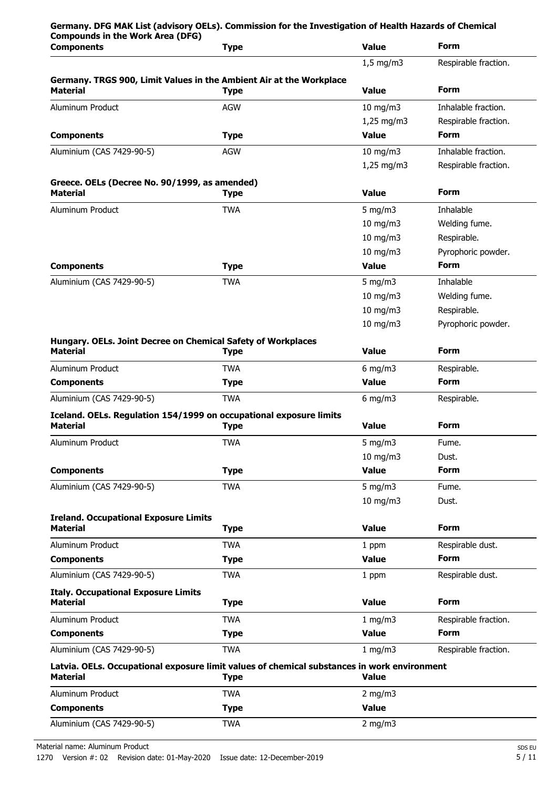| <b>Compounds in the Work Area (DFG)</b>                                                | Germany. DFG MAK List (advisory OELs). Commission for the Investigation of Health Hazards of Chemical      |                   |                      |
|----------------------------------------------------------------------------------------|------------------------------------------------------------------------------------------------------------|-------------------|----------------------|
| <b>Components</b>                                                                      | <b>Type</b>                                                                                                | <b>Value</b>      | <b>Form</b>          |
|                                                                                        |                                                                                                            | $1.5$ mg/m3       | Respirable fraction. |
| Germany. TRGS 900, Limit Values in the Ambient Air at the Workplace<br><b>Material</b> | <b>Type</b>                                                                                                | Value             | <b>Form</b>          |
| Aluminum Product                                                                       | <b>AGW</b>                                                                                                 | $10$ mg/m $3$     | Inhalable fraction.  |
|                                                                                        |                                                                                                            | $1,25$ mg/m3      | Respirable fraction. |
| <b>Components</b>                                                                      | <b>Type</b>                                                                                                | <b>Value</b>      | <b>Form</b>          |
| Aluminium (CAS 7429-90-5)                                                              | <b>AGW</b>                                                                                                 | $10$ mg/m $3$     | Inhalable fraction.  |
|                                                                                        |                                                                                                            | $1,25$ mg/m3      | Respirable fraction. |
| Greece. OELs (Decree No. 90/1999, as amended)<br><b>Material</b>                       | <b>Type</b>                                                                                                | <b>Value</b>      | <b>Form</b>          |
| Aluminum Product                                                                       | <b>TWA</b>                                                                                                 | 5 mg/m $3$        | Inhalable            |
|                                                                                        |                                                                                                            | $10$ mg/m $3$     | Welding fume.        |
|                                                                                        |                                                                                                            | $10$ mg/m $3$     | Respirable.          |
|                                                                                        |                                                                                                            | $10 \text{ mg/m}$ | Pyrophoric powder.   |
| <b>Components</b>                                                                      | <b>Type</b>                                                                                                | Value             | <b>Form</b>          |
| Aluminium (CAS 7429-90-5)                                                              | <b>TWA</b>                                                                                                 | 5 mg/m $3$        | Inhalable            |
|                                                                                        |                                                                                                            | $10$ mg/m $3$     | Welding fume.        |
|                                                                                        |                                                                                                            | 10 mg/m3          | Respirable.          |
|                                                                                        |                                                                                                            | $10$ mg/m $3$     | Pyrophoric powder.   |
| Hungary. OELs. Joint Decree on Chemical Safety of Workplaces<br><b>Material</b>        | <b>Type</b>                                                                                                | <b>Value</b>      | <b>Form</b>          |
| Aluminum Product                                                                       | <b>TWA</b>                                                                                                 | $6$ mg/m $3$      | Respirable.          |
| <b>Components</b>                                                                      | <b>Type</b>                                                                                                | <b>Value</b>      | <b>Form</b>          |
| Aluminium (CAS 7429-90-5)                                                              | <b>TWA</b>                                                                                                 | $6$ mg/m $3$      | Respirable.          |
| Iceland. OELs. Regulation 154/1999 on occupational exposure limits                     |                                                                                                            |                   |                      |
| <b>Material</b>                                                                        | <b>Type</b>                                                                                                | <b>Value</b>      | <b>Form</b>          |
| Aluminum Product                                                                       | TWA                                                                                                        | 5 mg/m $3$        | Fume.                |
|                                                                                        |                                                                                                            | $10$ mg/m $3$     | Dust.                |
| <b>Components</b>                                                                      | <b>Type</b>                                                                                                | <b>Value</b>      | <b>Form</b>          |
| Aluminium (CAS 7429-90-5)                                                              | <b>TWA</b>                                                                                                 | 5 mg/m $3$        | Fume.                |
|                                                                                        |                                                                                                            | 10 mg/m3          | Dust.                |
| <b>Ireland. Occupational Exposure Limits</b><br><b>Material</b>                        | <b>Type</b>                                                                                                | <b>Value</b>      | <b>Form</b>          |
| Aluminum Product                                                                       | <b>TWA</b>                                                                                                 | 1 ppm             | Respirable dust.     |
| <b>Components</b>                                                                      | <b>Type</b>                                                                                                | <b>Value</b>      | <b>Form</b>          |
| Aluminium (CAS 7429-90-5)                                                              | <b>TWA</b>                                                                                                 | 1 ppm             | Respirable dust.     |
| <b>Italy. Occupational Exposure Limits</b><br><b>Material</b>                          | <b>Type</b>                                                                                                | <b>Value</b>      | <b>Form</b>          |
| Aluminum Product                                                                       | <b>TWA</b>                                                                                                 | 1 mg/m3           | Respirable fraction. |
| <b>Components</b>                                                                      | <b>Type</b>                                                                                                | <b>Value</b>      | <b>Form</b>          |
| Aluminium (CAS 7429-90-5)                                                              | <b>TWA</b>                                                                                                 | 1 mg/m3           | Respirable fraction. |
| <b>Material</b>                                                                        | Latvia. OELs. Occupational exposure limit values of chemical substances in work environment<br><b>Type</b> | <b>Value</b>      |                      |
| Aluminum Product                                                                       | <b>TWA</b>                                                                                                 | $2$ mg/m $3$      |                      |
| <b>Components</b>                                                                      | <b>Type</b>                                                                                                | <b>Value</b>      |                      |
| Aluminium (CAS 7429-90-5)                                                              | <b>TWA</b>                                                                                                 | 2 mg/m $3$        |                      |
|                                                                                        |                                                                                                            |                   |                      |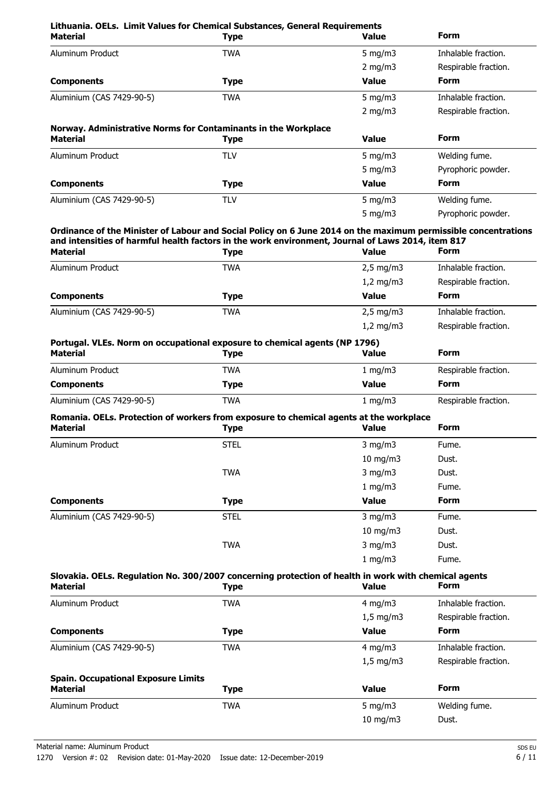| Lithuania. OELs. Limit Values for Chemical Substances, General Requirements<br><b>Material</b>                                                                                                                                                             | <b>Type</b>               | Value                            | Form                               |
|------------------------------------------------------------------------------------------------------------------------------------------------------------------------------------------------------------------------------------------------------------|---------------------------|----------------------------------|------------------------------------|
| Aluminum Product                                                                                                                                                                                                                                           | <b>TWA</b>                | 5 mg/m $3$                       | Inhalable fraction.                |
|                                                                                                                                                                                                                                                            |                           | 2 mg/m $3$                       | Respirable fraction.               |
| <b>Components</b>                                                                                                                                                                                                                                          | <b>Type</b>               | Value                            | <b>Form</b>                        |
| Aluminium (CAS 7429-90-5)                                                                                                                                                                                                                                  | <b>TWA</b>                | 5 mg/m $3$                       | Inhalable fraction.                |
|                                                                                                                                                                                                                                                            |                           | 2 mg/m $3$                       | Respirable fraction.               |
| Norway. Administrative Norms for Contaminants in the Workplace                                                                                                                                                                                             |                           |                                  |                                    |
| <b>Material</b>                                                                                                                                                                                                                                            | <b>Type</b>               | Value                            | <b>Form</b>                        |
| Aluminum Product                                                                                                                                                                                                                                           | <b>TLV</b>                | 5 mg/m $3$                       | Welding fume.                      |
|                                                                                                                                                                                                                                                            |                           | 5 mg/m $3$                       | Pyrophoric powder.                 |
| <b>Components</b>                                                                                                                                                                                                                                          | <b>Type</b>               | <b>Value</b>                     | <b>Form</b>                        |
| Aluminium (CAS 7429-90-5)                                                                                                                                                                                                                                  | <b>TLV</b>                | 5 mg/m $3$                       | Welding fume.                      |
|                                                                                                                                                                                                                                                            |                           | 5 mg/m $3$                       | Pyrophoric powder.                 |
| Ordinance of the Minister of Labour and Social Policy on 6 June 2014 on the maximum permissible concentrations<br>and intensities of harmful health factors in the work environment, Journal of Laws 2014, item 817<br><b>Material</b><br>Aluminum Product | <b>Type</b><br><b>TWA</b> | <b>Value</b><br>$2,5$ mg/m3      | <b>Form</b><br>Inhalable fraction. |
|                                                                                                                                                                                                                                                            |                           | $1,2$ mg/m3                      | Respirable fraction.               |
| <b>Components</b>                                                                                                                                                                                                                                          | <b>Type</b>               | <b>Value</b>                     | Form                               |
|                                                                                                                                                                                                                                                            | <b>TWA</b>                |                                  | Inhalable fraction.                |
| Aluminium (CAS 7429-90-5)                                                                                                                                                                                                                                  |                           | $2,5$ mg/m $3$<br>$1,2$ mg/m $3$ | Respirable fraction.               |
| Portugal. VLEs. Norm on occupational exposure to chemical agents (NP 1796)<br><b>Material</b>                                                                                                                                                              | <b>Type</b>               | <b>Value</b>                     | Form                               |
| Aluminum Product                                                                                                                                                                                                                                           | <b>TWA</b>                | 1 mg/m $3$                       | Respirable fraction.               |
| <b>Components</b>                                                                                                                                                                                                                                          | <b>Type</b>               | <b>Value</b>                     | Form                               |
| Aluminium (CAS 7429-90-5)                                                                                                                                                                                                                                  | <b>TWA</b>                | 1 mg/m $3$                       | Respirable fraction.               |
| Romania. OELs. Protection of workers from exposure to chemical agents at the workplace<br><b>Material</b>                                                                                                                                                  | <b>Type</b>               | <b>Value</b>                     | Form                               |
| Aluminum Product                                                                                                                                                                                                                                           | <b>STEL</b>               | $3$ mg/m $3$                     | Fume.                              |
|                                                                                                                                                                                                                                                            |                           | 10 mg/m3                         | Dust.                              |
|                                                                                                                                                                                                                                                            | <b>TWA</b>                | $3$ mg/m $3$                     | Dust.                              |
|                                                                                                                                                                                                                                                            |                           | 1 mg/m3                          | Fume.                              |
| <b>Components</b>                                                                                                                                                                                                                                          | <b>Type</b>               | <b>Value</b>                     | <b>Form</b>                        |
| Aluminium (CAS 7429-90-5)                                                                                                                                                                                                                                  | <b>STEL</b>               | $3$ mg/m $3$                     | Fume.                              |
|                                                                                                                                                                                                                                                            |                           | 10 mg/m3                         | Dust.                              |
|                                                                                                                                                                                                                                                            | <b>TWA</b>                | $3$ mg/m $3$                     | Dust.                              |
|                                                                                                                                                                                                                                                            |                           | 1 mg/m3                          | Fume.                              |
| Slovakia. OELs. Regulation No. 300/2007 concerning protection of health in work with chemical agents<br><b>Material</b>                                                                                                                                    | <b>Type</b>               | <b>Value</b>                     | Form                               |
| Aluminum Product                                                                                                                                                                                                                                           | <b>TWA</b>                | $4$ mg/m $3$                     | Inhalable fraction.                |
|                                                                                                                                                                                                                                                            |                           | $1,5$ mg/m3                      | Respirable fraction.               |
| <b>Components</b>                                                                                                                                                                                                                                          | <b>Type</b>               | <b>Value</b>                     | <b>Form</b>                        |
| Aluminium (CAS 7429-90-5)                                                                                                                                                                                                                                  | <b>TWA</b>                | 4 mg/m $3$                       | Inhalable fraction.                |
|                                                                                                                                                                                                                                                            |                           | $1,5$ mg/m3                      | Respirable fraction.               |
| <b>Spain. Occupational Exposure Limits</b>                                                                                                                                                                                                                 |                           |                                  |                                    |
| <b>Material</b>                                                                                                                                                                                                                                            | <b>Type</b>               | <b>Value</b>                     | <b>Form</b>                        |
| Aluminum Product                                                                                                                                                                                                                                           | <b>TWA</b>                | $5$ mg/m $3$                     | Welding fume.                      |
|                                                                                                                                                                                                                                                            |                           | 10 mg/m3                         | Dust.                              |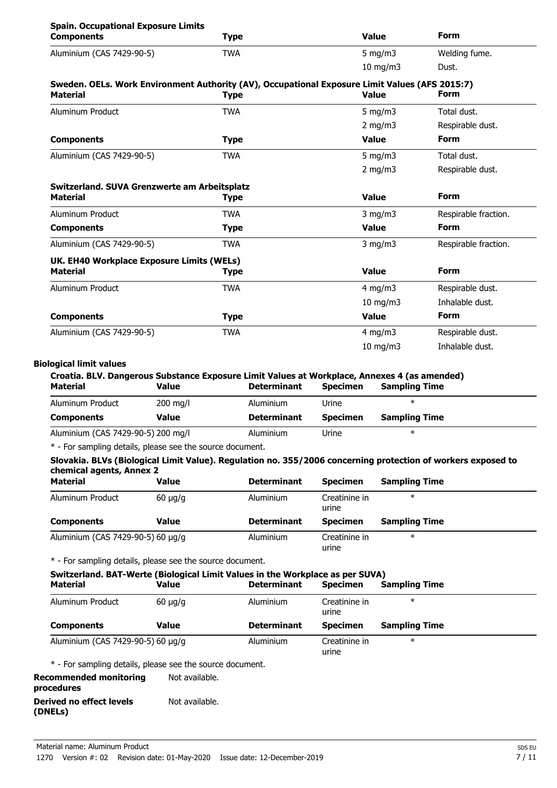| <b>Spain. Occupational Exposure Limits</b><br><b>Components</b>                                                   | <b>Type</b> | <b>Value</b>  | <b>Form</b>          |
|-------------------------------------------------------------------------------------------------------------------|-------------|---------------|----------------------|
| Aluminium (CAS 7429-90-5)                                                                                         | <b>TWA</b>  | 5 mg/m $3$    | Welding fume.        |
|                                                                                                                   |             | $10$ mg/m $3$ | Dust.                |
| Sweden. OELs. Work Environment Authority (AV), Occupational Exposure Limit Values (AFS 2015:7)<br><b>Material</b> | <b>Type</b> | <b>Value</b>  | <b>Form</b>          |
| Aluminum Product                                                                                                  | <b>TWA</b>  | $5$ mg/m $3$  | Total dust.          |
|                                                                                                                   |             | 2 mg/m $3$    | Respirable dust.     |
| <b>Components</b>                                                                                                 | <b>Type</b> | <b>Value</b>  | <b>Form</b>          |
| Aluminium (CAS 7429-90-5)                                                                                         | <b>TWA</b>  | $5$ mg/m $3$  | Total dust.          |
|                                                                                                                   |             | 2 mg/m $3$    | Respirable dust.     |
| Switzerland. SUVA Grenzwerte am Arbeitsplatz<br><b>Material</b>                                                   | <b>Type</b> | <b>Value</b>  | <b>Form</b>          |
| Aluminum Product                                                                                                  | <b>TWA</b>  | $3$ mg/m $3$  | Respirable fraction. |
| <b>Components</b>                                                                                                 | <b>Type</b> | <b>Value</b>  | <b>Form</b>          |
| Aluminium (CAS 7429-90-5)                                                                                         | <b>TWA</b>  | $3$ mg/m $3$  | Respirable fraction. |
| UK. EH40 Workplace Exposure Limits (WELs)<br><b>Material</b>                                                      | <b>Type</b> | <b>Value</b>  | <b>Form</b>          |
| Aluminum Product                                                                                                  | <b>TWA</b>  | $4$ mg/m $3$  | Respirable dust.     |
|                                                                                                                   |             | $10$ mg/m $3$ | Inhalable dust.      |
| <b>Components</b>                                                                                                 | <b>Type</b> | <b>Value</b>  | <b>Form</b>          |
| Aluminium (CAS 7429-90-5)                                                                                         | <b>TWA</b>  | $4$ mg/m $3$  | Respirable dust.     |
|                                                                                                                   |             | $10$ mg/m $3$ | Inhalable dust.      |
|                                                                                                                   |             |               |                      |

### **Biological limit values**

| Croatia. BLV. Dangerous Substance Exposure Limit Values at Workplace, Annexes 4 (as amended) |                    |                    |                 |                      |  |
|----------------------------------------------------------------------------------------------|--------------------|--------------------|-----------------|----------------------|--|
| Material                                                                                     | Value              | <b>Determinant</b> | <b>Specimen</b> | <b>Sampling Time</b> |  |
| Aluminum Product                                                                             | $200 \text{ mg/l}$ | Aluminium          | Urine           | ж                    |  |
| <b>Components</b>                                                                            | Value              | <b>Determinant</b> | <b>Specimen</b> | <b>Sampling Time</b> |  |
| Aluminium (CAS 7429-90-5) 200 mg/l                                                           |                    | Aluminium          | Urine           | ж                    |  |

\* - For sampling details, please see the source document.

### **Slovakia. BLVs (Biological Limit Value). Regulation no. 355/2006 concerning protection of workers exposed to chemical agents, Annex 2**

| <b>Material</b>                   | Value        | <b>Determinant</b> | <b>Specimen</b>        | <b>Sampling Time</b> |  |
|-----------------------------------|--------------|--------------------|------------------------|----------------------|--|
| Aluminum Product                  | $60 \mu q/q$ | Aluminium          | Creatinine in<br>urine | $\ast$               |  |
| <b>Components</b>                 | Value        | <b>Determinant</b> | <b>Specimen</b>        | <b>Sampling Time</b> |  |
| Aluminium (CAS 7429-90-5) 60 µg/g |              | Aluminium          | Creatinine in<br>urine | $\ast$               |  |

\* - For sampling details, please see the source document.

| Switzerland. BAT-Werte (Biological Limit Values in the Workplace as per SUVA) |              |                    |                        |                      |  |
|-------------------------------------------------------------------------------|--------------|--------------------|------------------------|----------------------|--|
| <b>Material</b>                                                               | Value        | <b>Determinant</b> | <b>Specimen</b>        | <b>Sampling Time</b> |  |
| Aluminum Product                                                              | $60 \mu q/q$ | Aluminium          | Creatinine in<br>urine | $\ast$               |  |
| <b>Components</b>                                                             | Value        | <b>Determinant</b> | <b>Specimen</b>        | <b>Sampling Time</b> |  |
| Aluminium (CAS 7429-90-5) 60 µg/g                                             |              | Aluminium          | Creatinine in<br>urine | $\ast$               |  |

\* - For sampling details, please see the source document.

**Recommended monitoring** Not available. **procedures Derived no effect levels** Not available.

**(DNELs)**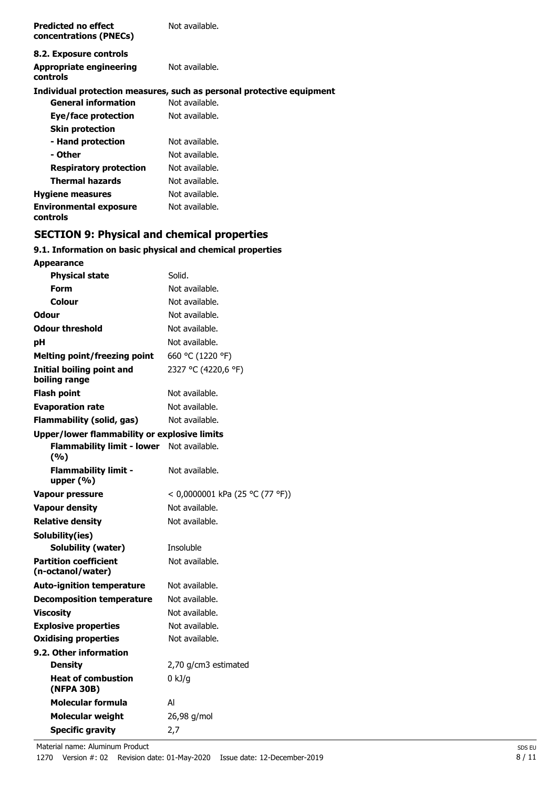| <b>Predicted no effect</b><br>concentrations (PNECs) | Not available.                                                        |
|------------------------------------------------------|-----------------------------------------------------------------------|
| 8.2. Exposure controls                               |                                                                       |
| Appropriate engineering<br>controls                  | Not available.                                                        |
|                                                      | Individual protection measures, such as personal protective equipment |
| <b>General information</b>                           | Not available.                                                        |
| Eye/face protection                                  | Not available.                                                        |
| <b>Skin protection</b>                               |                                                                       |
| - Hand protection                                    | Not available.                                                        |
| - Other                                              | Not available.                                                        |
| <b>Respiratory protection</b>                        | Not available.                                                        |
| <b>Thermal hazards</b>                               | Not available.                                                        |
| <b>Hygiene measures</b>                              | Not available.                                                        |
| <b>Environmental exposure</b><br>controls            | Not available.                                                        |

# **SECTION 9: Physical and chemical properties**

# **9.1. Information on basic physical and chemical properties**

| <b>Appearance</b>                                   |                                 |
|-----------------------------------------------------|---------------------------------|
| <b>Physical state</b>                               | Solid.                          |
| Form                                                | Not available.                  |
| Colour                                              | Not available.                  |
| <b>Odour</b>                                        | Not available.                  |
| <b>Odour threshold</b>                              | Not available.                  |
| рH                                                  | Not available.                  |
| <b>Melting point/freezing point</b>                 | 660 °C (1220 °F)                |
| <b>Initial boiling point and</b><br>boiling range   | 2327 °C (4220,6 °F)             |
| <b>Flash point</b>                                  | Not available.                  |
| <b>Evaporation rate</b>                             | Not available.                  |
| <b>Flammability (solid, gas)</b>                    | Not available.                  |
| <b>Upper/lower flammability or explosive limits</b> |                                 |
| <b>Flammability limit - lower</b><br>(%)            | Not available.                  |
| <b>Flammability limit -</b><br>upper $(% )$         | Not available.                  |
| <b>Vapour pressure</b>                              | < 0,0000001 kPa (25 °C (77 °F)) |
| Vapour density                                      | Not available.                  |
| <b>Relative density</b>                             | Not available.                  |
| Solubility(ies)                                     |                                 |
| Solubility (water)                                  | Insoluble                       |
| <b>Partition coefficient</b><br>(n-octanol/water)   | Not available.                  |
| <b>Auto-ignition temperature</b>                    | Not available.                  |
| <b>Decomposition temperature</b>                    | Not available.                  |
| <b>Viscosity</b>                                    | Not available.                  |
| <b>Explosive properties</b>                         | Not available.                  |
| <b>Oxidising properties</b>                         | Not available.                  |
| 9.2. Other information                              |                                 |
| <b>Density</b>                                      | 2,70 g/cm3 estimated            |
| <b>Heat of combustion</b><br>(NFPA 30B)             | 0 kJ/g                          |
| Molecular formula                                   | Al                              |
| <b>Molecular weight</b>                             | 26,98 g/mol                     |
| <b>Specific gravity</b>                             | 2,7                             |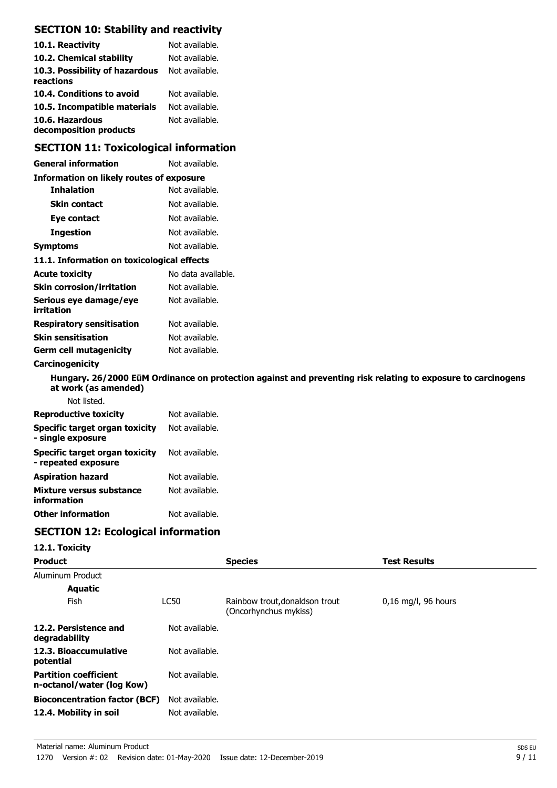# **SECTION 10: Stability and reactivity**

| 10.1. Reactivity                            | Not available. |
|---------------------------------------------|----------------|
| 10.2. Chemical stability                    | Not available. |
| 10.3. Possibility of hazardous<br>reactions | Not available. |
| 10.4. Conditions to avoid                   | Not available. |
| 10.5. Incompatible materials                | Not available. |
| 10.6. Hazardous<br>decomposition products   | Not available. |

# **SECTION 11: Toxicological information**

| <b>General information</b>                          | Not available.                                                                                               |
|-----------------------------------------------------|--------------------------------------------------------------------------------------------------------------|
| <b>Information on likely routes of exposure</b>     |                                                                                                              |
| <b>Inhalation</b>                                   | Not available.                                                                                               |
| <b>Skin contact</b>                                 | Not available.                                                                                               |
| Eye contact                                         | Not available.                                                                                               |
| <b>Ingestion</b>                                    | Not available.                                                                                               |
| <b>Symptoms</b>                                     | Not available.                                                                                               |
| 11.1. Information on toxicological effects          |                                                                                                              |
| <b>Acute toxicity</b>                               | No data available.                                                                                           |
| <b>Skin corrosion/irritation</b>                    | Not available.                                                                                               |
| Serious eye damage/eye<br>irritation                | Not available.                                                                                               |
| <b>Respiratory sensitisation</b>                    | Not available.                                                                                               |
| <b>Skin sensitisation</b>                           | Not available.                                                                                               |
| <b>Germ cell mutagenicity</b>                       | Not available.                                                                                               |
| Carcinogenicity                                     |                                                                                                              |
| at work (as amended)                                | Hungary. 26/2000 EüM Ordinance on protection against and preventing risk relating to exposure to carcinogens |
| Not listed.                                         |                                                                                                              |
| <b>Reproductive toxicity</b>                        | Not available.                                                                                               |
| Specific target organ toxicity<br>- single exposure | Not available.                                                                                               |

| Specific target organ toxicity<br>- repeated exposure | Not available. |
|-------------------------------------------------------|----------------|
| <b>Aspiration hazard</b>                              | Not available. |
| Mixture versus substance<br>information               | Not available. |
| <b>Other information</b>                              | Not available. |

# **SECTION 12: Ecological information**

### **12.1. Toxicity**

| <b>Product</b>                                            |                | <b>Species</b>                                          | <b>Test Results</b>   |
|-----------------------------------------------------------|----------------|---------------------------------------------------------|-----------------------|
| Aluminum Product                                          |                |                                                         |                       |
| <b>Aquatic</b>                                            |                |                                                         |                       |
| Fish                                                      | <b>LC50</b>    | Rainbow trout, donaldson trout<br>(Oncorhynchus mykiss) | $0,16$ mg/l, 96 hours |
| 12.2. Persistence and<br>degradability                    | Not available. |                                                         |                       |
| 12.3. Bioaccumulative<br>potential                        | Not available. |                                                         |                       |
| <b>Partition coefficient</b><br>n-octanol/water (log Kow) | Not available. |                                                         |                       |
| <b>Bioconcentration factor (BCF)</b>                      | Not available. |                                                         |                       |
| 12.4. Mobility in soil                                    | Not available. |                                                         |                       |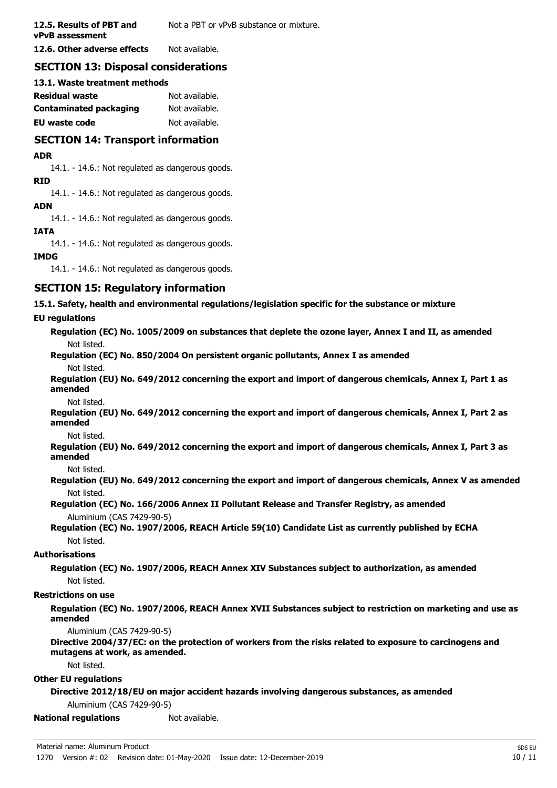**12.5. Results of PBT and** Not a PBT or vPvB substance or mixture. **vPvB assessment**

**12.6. Other adverse effects** Not available.

## **SECTION 13: Disposal considerations**

### **13.1. Waste treatment methods**

| Residual waste         | Not available. |
|------------------------|----------------|
| Contaminated packaging | Not available. |
| EU waste code          | Not available. |

# **SECTION 14: Transport information**

### **ADR**

14.1. - 14.6.: Not regulated as dangerous goods.

#### **RID**

14.1. - 14.6.: Not regulated as dangerous goods.

### **ADN**

14.1. - 14.6.: Not regulated as dangerous goods.

### **IATA**

14.1. - 14.6.: Not regulated as dangerous goods.

### **IMDG**

14.1. - 14.6.: Not regulated as dangerous goods.

# **SECTION 15: Regulatory information**

**15.1. Safety, health and environmental regulations/legislation specific for the substance or mixture**

### **EU regulations**

**Regulation (EC) No. 1005/2009 on substances that deplete the ozone layer, Annex I and II, as amended** Not listed.

**Regulation (EC) No. 850/2004 On persistent organic pollutants, Annex I as amended** Not listed.

**Regulation (EU) No. 649/2012 concerning the export and import of dangerous chemicals, Annex I, Part 1 as amended**

Not listed.

**Regulation (EU) No. 649/2012 concerning the export and import of dangerous chemicals, Annex I, Part 2 as amended**

Not listed.

**Regulation (EU) No. 649/2012 concerning the export and import of dangerous chemicals, Annex I, Part 3 as amended**

Not listed.

**Regulation (EU) No. 649/2012 concerning the export and import of dangerous chemicals, Annex V as amended** Not listed.

**Regulation (EC) No. 166/2006 Annex II Pollutant Release and Transfer Registry, as amended** Aluminium (CAS 7429-90-5)

**Regulation (EC) No. 1907/2006, REACH Article 59(10) Candidate List as currently published by ECHA** Not listed.

#### **Authorisations**

**Regulation (EC) No. 1907/2006, REACH Annex XIV Substances subject to authorization, as amended** Not listed.

### **Restrictions on use**

**Regulation (EC) No. 1907/2006, REACH Annex XVII Substances subject to restriction on marketing and use as amended**

Aluminium (CAS 7429-90-5)

**Directive 2004/37/EC: on the protection of workers from the risks related to exposure to carcinogens and mutagens at work, as amended.**

Not listed.

#### **Other EU regulations**

**Directive 2012/18/EU on major accident hazards involving dangerous substances, as amended**

Aluminium (CAS 7429-90-5)

**National regulations** Not available.